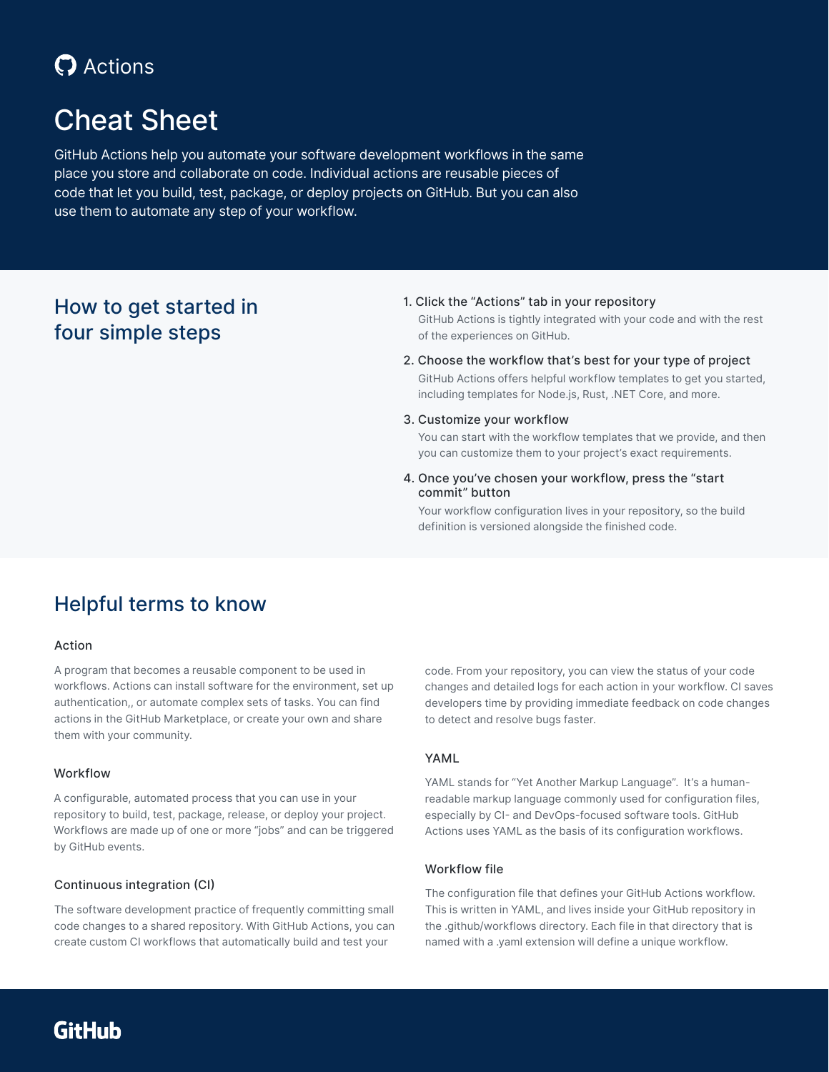## **C** Actions

## Cheat Sheet

GitHub Actions help you automate your software development workflows in the same place you store and collaborate on code. Individual actions are reusable pieces of code that let you build, test, package, or deploy projects on GitHub. But you can also use them to automate any step of your workflow.

### How to get started in four simple steps

#### 1. Click the "Actions" tab in your repository

GitHub Actions is tightly integrated with your code and with the rest of the experiences on GitHub.

- 2. Choose the workflow that's best for your type of project GitHub Actions offers helpful workflow templates to get you started, including templates for Node.js, Rust, .NET Core, and more.
- 3. Customize your workflow

You can start with the workflow templates that we provide, and then you can customize them to your project's exact requirements.

4. Once you've chosen your workflow, press the "start commit" button

Your workflow configuration lives in your repository, so the build definition is versioned alongside the finished code.

### Helpful terms to know

#### Action

A program that becomes a reusable component to be used in workflows. Actions can install software for the environment, set up authentication,, or automate complex sets of tasks. You can find actions in the GitHub Marketplace, or create your own and share them with your community.

#### Workflow

A configurable, automated process that you can use in your repository to build, test, package, release, or deploy your project. Workflows are made up of one or more "jobs" and can be triggered by GitHub events.

#### Continuous integration (CI)

The software development practice of frequently committing small code changes to a shared repository. With GitHub Actions, you can create custom CI workflows that automatically build and test your

code. From your repository, you can view the status of your code changes and detailed logs for each action in your workflow. CI saves developers time by providing immediate feedback on code changes to detect and resolve bugs faster.

#### YAML

YAML stands for "Yet Another Markup Language". It's a humanreadable markup language commonly used for configuration files, especially by CI- and DevOps-focused software tools. GitHub Actions uses YAML as the basis of its configuration workflows.

#### Workflow file

The configuration file that defines your GitHub Actions workflow. This is written in YAML, and lives inside your GitHub repository in the .github/workflows directory. Each file in that directory that is named with a .yaml extension will define a unique workflow.

**GitHub**